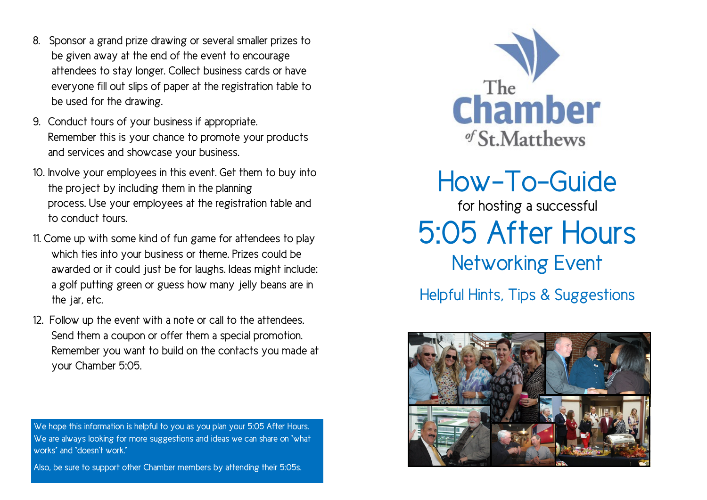- **8. Sponsor a grand prize drawing or several smaller prizes to be given away at the end of the event to encourage attendees to stay longer. Collect business cards or have everyone fill out slips of paper at the registration table to be used for the drawing.**
- **9. Conduct tours of your business if appropriate. Remember this is your chance to promote your products and services and showcase your business.**
- **10. Involve your employees in this event. Get them to buy into the project by including them in the planning process. Use your employees at the registration table and to conduct tours.**
- **11. Come up with some kind of fun game for attendees to play which ties into your business or theme. Prizes could be awarded or it could just be for laughs. Ideas might include: a golf putting green or guess how many jelly beans are in the jar, etc.**
- **12. Follow up the event with a note or call to the attendees. Send them a coupon or offer them a special promotion. Remember you want to build on the contacts you made at your Chamber 5:05.**

**We hope this information is helpful to you as you plan your 5:05 After Hours. We are always looking for more suggestions and ideas we can share on "what works" and "doesn't work."** 

**Also, be sure to support other Chamber members by attending their 5:05s.**



**How-To-Guide**

**for hosting a successful 5:05 After Hours Networking Event**

**Helpful Hints, Tips & Suggestions**